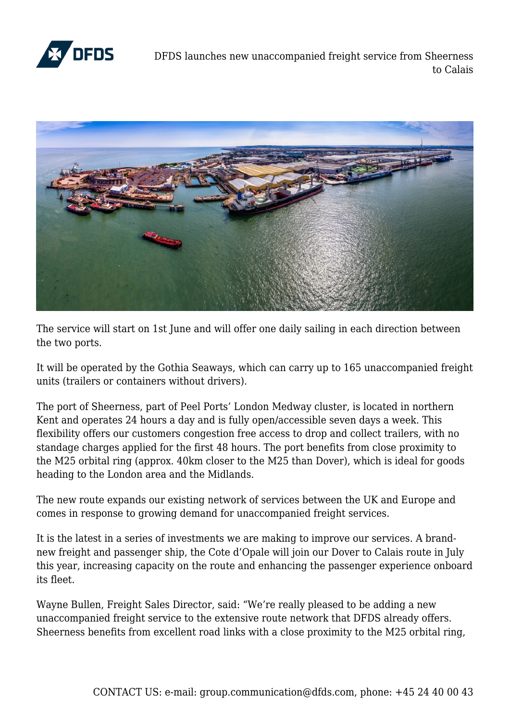

DFDS launches new unaccompanied freight service from Sheerness to Calais



The service will start on 1st June and will offer one daily sailing in each direction between the two ports.

It will be operated by the Gothia Seaways, which can carry up to 165 unaccompanied freight units (trailers or containers without drivers).

The port of Sheerness, part of Peel Ports' London Medway cluster, is located in northern Kent and operates 24 hours a day and is fully open/accessible seven days a week. This flexibility offers our customers congestion free access to drop and collect trailers, with no standage charges applied for the first 48 hours. The port benefits from close proximity to the M25 orbital ring (approx. 40km closer to the M25 than Dover), which is ideal for goods heading to the London area and the Midlands.

The new route expands our existing network of services between the UK and Europe and comes in response to growing demand for unaccompanied freight services.

It is the latest in a series of investments we are making to improve our services. A brandnew freight and passenger ship, the Cote d'Opale will join our Dover to Calais route in July this year, increasing capacity on the route and enhancing the passenger experience onboard its fleet.

Wayne Bullen, Freight Sales Director, said: "We're really pleased to be adding a new unaccompanied freight service to the extensive route network that DFDS already offers. Sheerness benefits from excellent road links with a close proximity to the M25 orbital ring,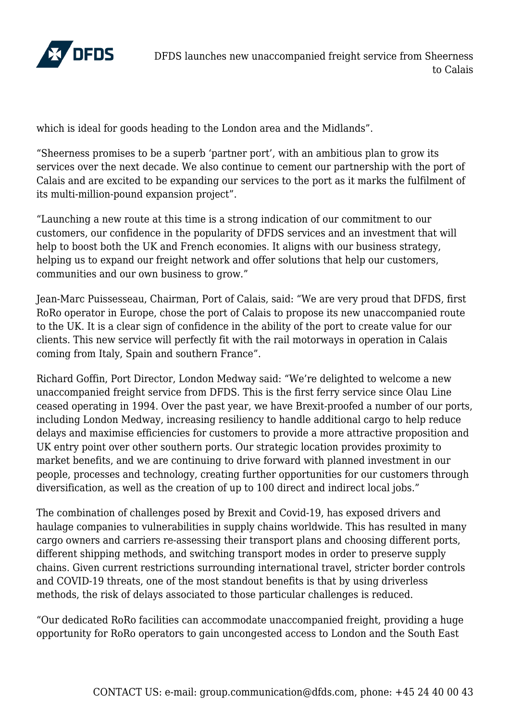

which is ideal for goods heading to the London area and the Midlands".

"Sheerness promises to be a superb 'partner port', with an ambitious plan to grow its services over the next decade. We also continue to cement our partnership with the port of Calais and are excited to be expanding our services to the port as it marks the fulfilment of its multi-million-pound expansion project".

"Launching a new route at this time is a strong indication of our commitment to our customers, our confidence in the popularity of DFDS services and an investment that will help to boost both the UK and French economies. It aligns with our business strategy, helping us to expand our freight network and offer solutions that help our customers, communities and our own business to grow."

Jean-Marc Puissesseau, Chairman, Port of Calais, said: "We are very proud that DFDS, first RoRo operator in Europe, chose the port of Calais to propose its new unaccompanied route to the UK. It is a clear sign of confidence in the ability of the port to create value for our clients. This new service will perfectly fit with the rail motorways in operation in Calais coming from Italy, Spain and southern France".

Richard Goffin, Port Director, London Medway said: "We're delighted to welcome a new unaccompanied freight service from DFDS. This is the first ferry service since Olau Line ceased operating in 1994. Over the past year, we have Brexit-proofed a number of our ports, including London Medway, increasing resiliency to handle additional cargo to help reduce delays and maximise efficiencies for customers to provide a more attractive proposition and UK entry point over other southern ports. Our strategic location provides proximity to market benefits, and we are continuing to drive forward with planned investment in our people, processes and technology, creating further opportunities for our customers through diversification, as well as the creation of up to 100 direct and indirect local jobs."

The combination of challenges posed by Brexit and Covid-19, has exposed drivers and haulage companies to vulnerabilities in supply chains worldwide. This has resulted in many cargo owners and carriers re-assessing their transport plans and choosing different ports, different shipping methods, and switching transport modes in order to preserve supply chains. Given current restrictions surrounding international travel, stricter border controls and COVID-19 threats, one of the most standout benefits is that by using driverless methods, the risk of delays associated to those particular challenges is reduced.

"Our dedicated RoRo facilities can accommodate unaccompanied freight, providing a huge opportunity for RoRo operators to gain uncongested access to London and the South East